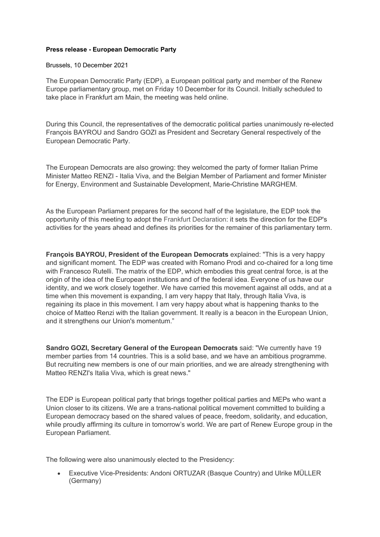## **Press release - European Democratic Party**

Brussels, 10 December 2021

The European Democratic Party (EDP), a European political party and member of the Renew Europe parliamentary group, met on Friday 10 December for its Council. Initially scheduled to take place in Frankfurt am Main, the meeting was held online.

During this Council, the representatives of the democratic political parties unanimously re-elected François BAYROU and Sandro GOZI as President and Secretary General respectively of the European Democratic Party.

The European Democrats are also growing: they welcomed the party of former Italian Prime Minister Matteo RENZI - Italia Viva, and the Belgian Member of Parliament and former Minister for Energy, Environment and Sustainable Development, Marie-Christine MARGHEM.

As the European Parliament prepares for the second half of the legislature, the EDP took the opportunity of this meeting to adopt the [Frankfurt Declaration:](http://democrats.eu/en/frankfurt-declaration) it sets the direction for the EDP's activities for the years ahead and defines its priorities for the remainer of this parliamentary term.

**François BAYROU, President of the European Democrats** explained: "This is a very happy and significant moment. The EDP was created with Romano Prodi and co-chaired for a long time with Francesco Rutelli. The matrix of the EDP, which embodies this great central force, is at the origin of the idea of the European institutions and of the federal idea. Everyone of us have our identity, and we work closely together. We have carried this movement against all odds, and at a time when this movement is expanding, I am very happy that Italy, through Italia Viva, is regaining its place in this movement. I am very happy about what is happening thanks to the choice of Matteo Renzi with the Italian government. It really is a beacon in the European Union, and it strengthens our Union's momentum."

**Sandro GOZI, Secretary General of the European Democrats** said: "We currently have 19 member parties from 14 countries. This is a solid base, and we have an ambitious programme. But recruiting new members is one of our main priorities, and we are already strengthening with Matteo RENZI's Italia Viva, which is great news."

The EDP is European political party that brings together political parties and MEPs who want a Union closer to its citizens. We are a trans-national political movement committed to building a European democracy based on the shared values of peace, freedom, solidarity, and education, while proudly affirming its culture in tomorrow's world. We are part of Renew Europe group in the European Parliament.

The following were also unanimously elected to the Presidency:

• Executive Vice-Presidents: Andoni ORTUZAR (Basque Country) and Ulrike MÜLLER (Germany)